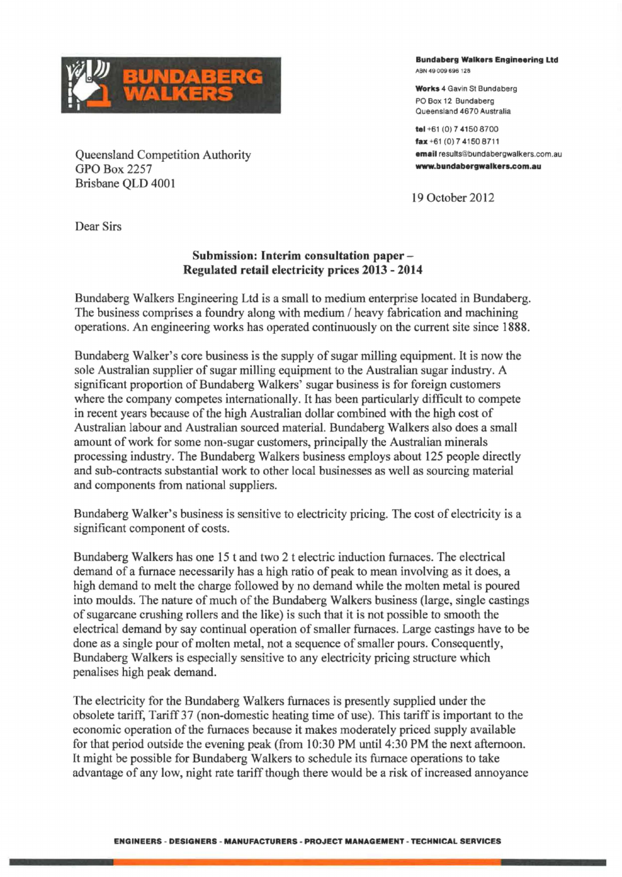

Queensland Competition Authority GPOBox2257 Brisbane QLD 4001

**Bundaberg Walkers Engineering Ltd** ABN 49 009 695 126

**Work\$** 4 Gavin St Bundaberg PO Box 12 Bundaberg Queensland 4670 Australia

**tel** +61 (OJ 7 4150 8700 **fax** • 61 (0) 7 4150 8711 **email** results@bundabergwalkers.com.au **-.bundabergwalkers.com.au** 

19 October 2012

Dear Sirs

## **Submission: Interim consultation paper-Regulated retail electricity prices 2013-2014**

Bundaberg Walkers Engineering Ltd is a small to medium enterprise located in Bundaberg. The business comprises a foundry along with medium / heavy fabrication and machining operations. An engineering works has operated continuously on the current site since 1888.

Bundaberg Walker's core business is the supply of sugar milling equipment. It is now the sole Australian supplier of sugar milling equipment to the Australian sugar industry. A significant proportion of Bundaberg Walkers' sugar business is for foreign customers where the company competes internationally. It has been particularly difficult to compete in recent years because of the high Australian dollar combined with the high cost of Australian labour and Australian sourced material. Bundaberg Walkers also does a small amount of work for some non-sugar customers, principally the Australian minerals processing industry. The Bundaberg Walkers business employs about 125 people directly and sub-contracts substantial work to other local businesses as well as sourcing material and components from national suppliers.

Bundaberg Walker's business is sensitive to electricity pricing. The cost of electricity is a significant component of costs.

Bundaberg Walkers has one 15 t and two 2 t electric induction furnaces. The electrical demand of a furnace necessarily has a high ratio of peak to mean involving as it does, a high demand to melt the charge followed by no demand while the molten metal is poured into moulds. The nature of much of the Bundaberg Walkers business (large, single castings of sugarcane crushing rollers and the like) is such that it is not possible to smooth the electrical demand by say continual operation of smaller furnaces. Large castings have to be done as a single pour of molten metal, not a sequence of smaller pours. Consequently, Bundaberg Walkers is especially sensitive to any electricity pricing structure which penalises high peak demand.

The electricity for the Bundaberg Walkers furnaces is presently supplied under the obsolete tariff, Tariff37 (non-domestic heating time of use). This tariff is important to the economic operation of the furnaces because it makes moderately priced supply available for that period outside the evening peak (from 10:30 PM until 4:30 PM the next afternoon. It might be possible for Bundaberg Walkers to schedule its furnace operations to take advantage of any low, night rate tariff though there would be a risk of increased annoyance